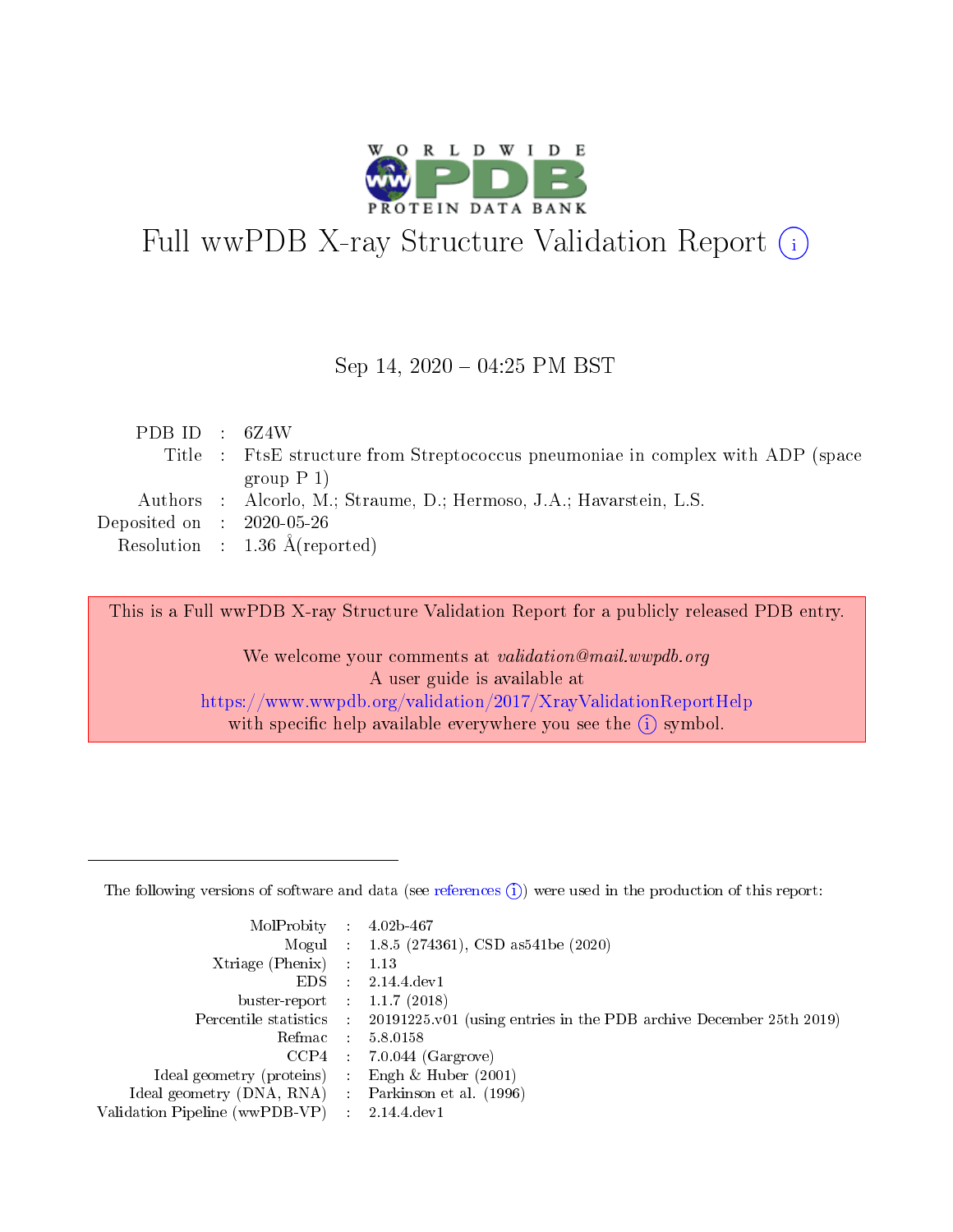

# Full wwPDB X-ray Structure Validation Report (i)

#### Sep 14,  $2020 - 04:25$  PM BST

| PDB ID : $6Z4W$                     |                                                                                 |
|-------------------------------------|---------------------------------------------------------------------------------|
|                                     | Title : FtsE structure from Streptococcus pneumoniae in complex with ADP (space |
|                                     | group $P_1$ )                                                                   |
|                                     | Authors : Alcorlo, M.; Straume, D.; Hermoso, J.A.; Havarstein, L.S.             |
| Deposited on $\,$ : 2020-05-26 $\,$ |                                                                                 |
|                                     | Resolution : $1.36 \text{ Å}$ (reported)                                        |

This is a Full wwPDB X-ray Structure Validation Report for a publicly released PDB entry.

We welcome your comments at validation@mail.wwpdb.org A user guide is available at <https://www.wwpdb.org/validation/2017/XrayValidationReportHelp> with specific help available everywhere you see the  $(i)$  symbol.

The following versions of software and data (see [references](https://www.wwpdb.org/validation/2017/XrayValidationReportHelp#references)  $(1)$ ) were used in the production of this report:

| MolProbity                     | $\mathcal{A}$ . | $4.02b - 467$                                                                |
|--------------------------------|-----------------|------------------------------------------------------------------------------|
|                                |                 | Mogul : 1.8.5 (274361), CSD as541be (2020)                                   |
| $X$ triage (Phenix) :          |                 | 1.13                                                                         |
| EDS.                           | ÷               | 2.14.4 dev1                                                                  |
| buster-report : $1.1.7$ (2018) |                 |                                                                              |
| Percentile statistics :        |                 | $20191225 \text{ v}01$ (using entries in the PDB archive December 25th 2019) |
| Refmac                         |                 | 5.8.0158                                                                     |
| CCP4                           |                 | $7.0.044$ (Gargrove)                                                         |
| Ideal geometry (proteins)      |                 | Engh $\&$ Huber (2001)                                                       |
| Ideal geometry (DNA, RNA) :    |                 | Parkinson et al. (1996)                                                      |
| Validation Pipeline (wwPDB-VP) | ÷               | 2.14.4 dev1                                                                  |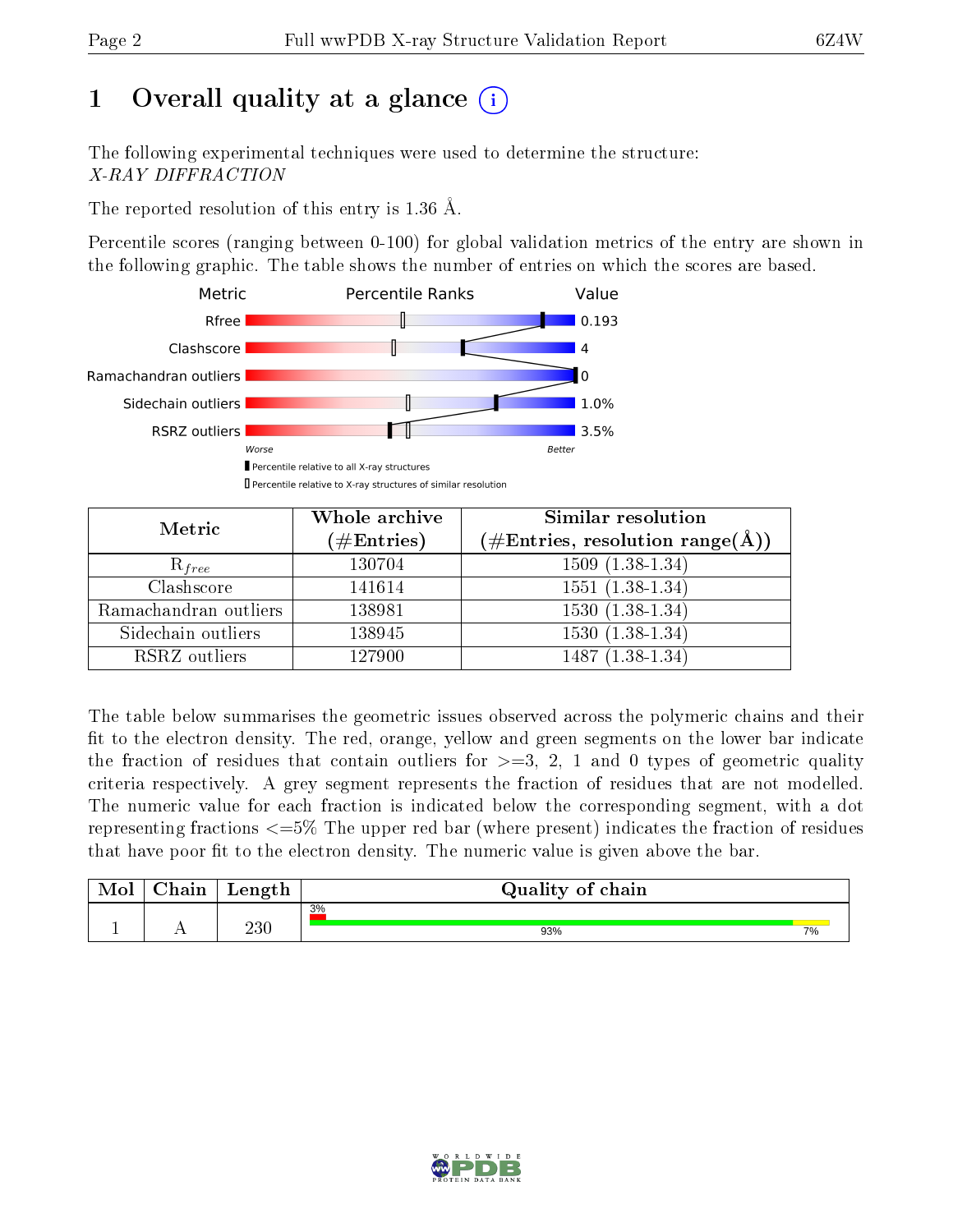## 1 [O](https://www.wwpdb.org/validation/2017/XrayValidationReportHelp#overall_quality)verall quality at a glance  $(i)$

The following experimental techniques were used to determine the structure: X-RAY DIFFRACTION

The reported resolution of this entry is 1.36 Å.

Percentile scores (ranging between 0-100) for global validation metrics of the entry are shown in the following graphic. The table shows the number of entries on which the scores are based.



| Metric                | Whole archive<br>$(\#\mathrm{Entries})$ | Similar resolution<br>$(\#\text{Entries},\, \text{resolution}\; \text{range}(\textup{\AA}))$ |  |  |
|-----------------------|-----------------------------------------|----------------------------------------------------------------------------------------------|--|--|
| $R_{free}$            | 130704                                  | $1509(1.38-1.34)$                                                                            |  |  |
| Clashscore            | 141614                                  | $1551(1.38-1.34)$                                                                            |  |  |
| Ramachandran outliers | 138981                                  | $1530(1.38-1.34)$                                                                            |  |  |
| Sidechain outliers    | 138945                                  | $1530(1.38-1.34)$                                                                            |  |  |
| RSRZ outliers         | 127900                                  | $1487(1.38-1.34)$                                                                            |  |  |

The table below summarises the geometric issues observed across the polymeric chains and their fit to the electron density. The red, orange, yellow and green segments on the lower bar indicate the fraction of residues that contain outliers for  $>=3, 2, 1$  and 0 types of geometric quality criteria respectively. A grey segment represents the fraction of residues that are not modelled. The numeric value for each fraction is indicated below the corresponding segment, with a dot representing fractions  $\epsilon=5\%$  The upper red bar (where present) indicates the fraction of residues that have poor fit to the electron density. The numeric value is given above the bar.

| Mol | $\sim$ $\sim$<br>hain | Length  | Quality of chain |    |
|-----|-----------------------|---------|------------------|----|
|     |                       | $230\,$ | 3%               |    |
| л.  | . .                   |         | 93%              | 7% |

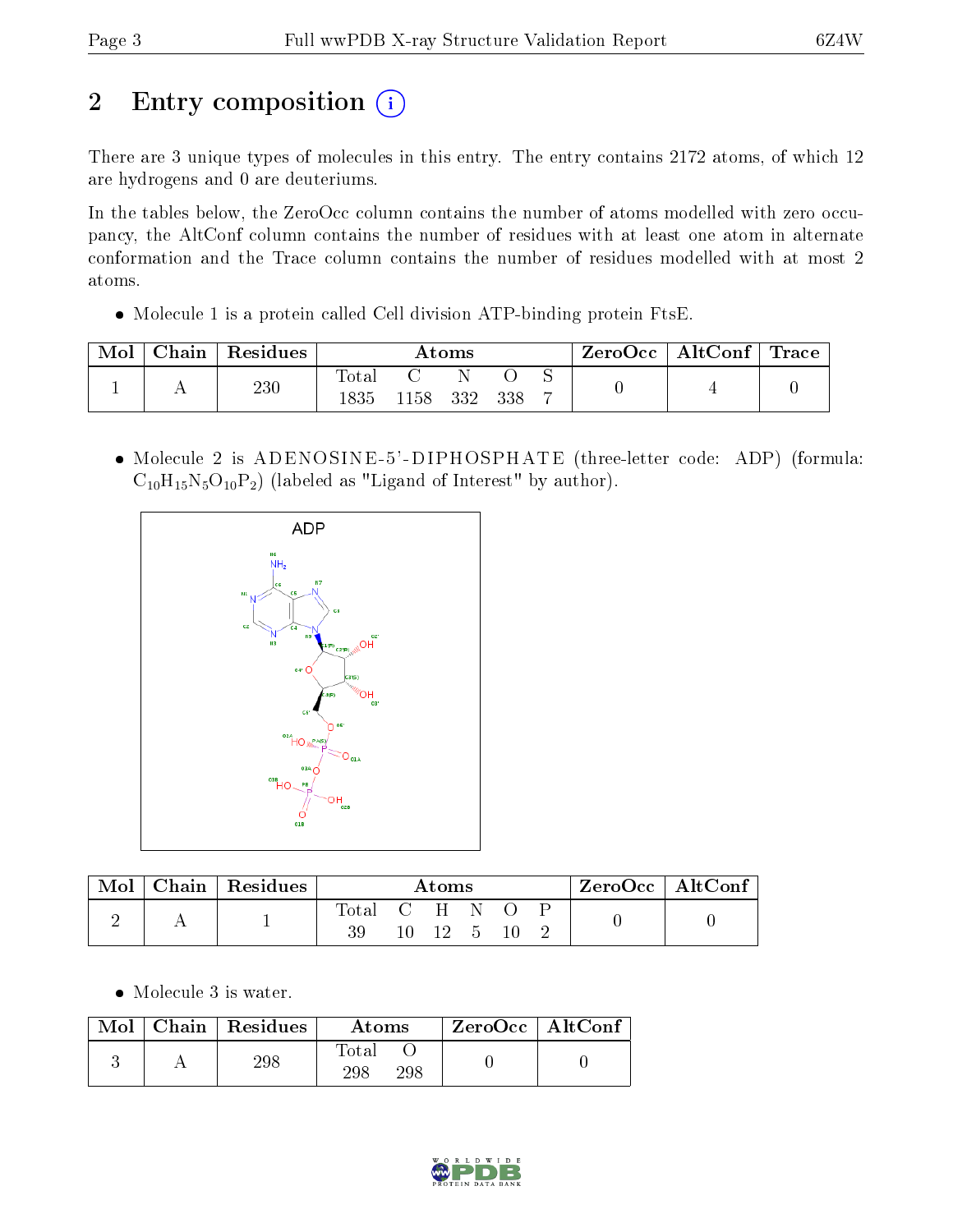# 2 Entry composition (i)

There are 3 unique types of molecules in this entry. The entry contains 2172 atoms, of which 12 are hydrogens and 0 are deuteriums.

In the tables below, the ZeroOcc column contains the number of atoms modelled with zero occupancy, the AltConf column contains the number of residues with at least one atom in alternate conformation and the Trace column contains the number of residues modelled with at most 2 atoms.

Molecule 1 is a protein called Cell division ATP-binding protein FtsE.

| Mol | Chain ' | $\,$ Residues $\,$ | Atoms                 |     |     |     | $\text{ZeroOcc} \mid \text{AltConf} \mid \text{Trace}$ |  |  |
|-----|---------|--------------------|-----------------------|-----|-----|-----|--------------------------------------------------------|--|--|
|     |         | 230                | <b>Total</b><br>1835. | 158 | 332 | 338 |                                                        |  |  |
|     |         |                    |                       |     |     |     |                                                        |  |  |

• Molecule 2 is ADENOSINE-5'-DIPHOSPHATE (three-letter code: ADP) (formula:  $C_{10}H_{15}N_5O_{10}P_2$ ) (labeled as "Ligand of Interest" by author).



| Mol | Chain   Residues $\frac{1}{2}$ | Atoms         |  |       |   | $\ $ ZeroOcc $\ $ AltConf |  |  |  |
|-----|--------------------------------|---------------|--|-------|---|---------------------------|--|--|--|
|     |                                | Total C H N O |  | $-12$ | h |                           |  |  |  |

• Molecule 3 is water.

| Mol | Chain Residues | Atoms               | ZeroOcc   AltConf |  |
|-----|----------------|---------------------|-------------------|--|
|     | 298            | Fotal<br>298<br>298 |                   |  |

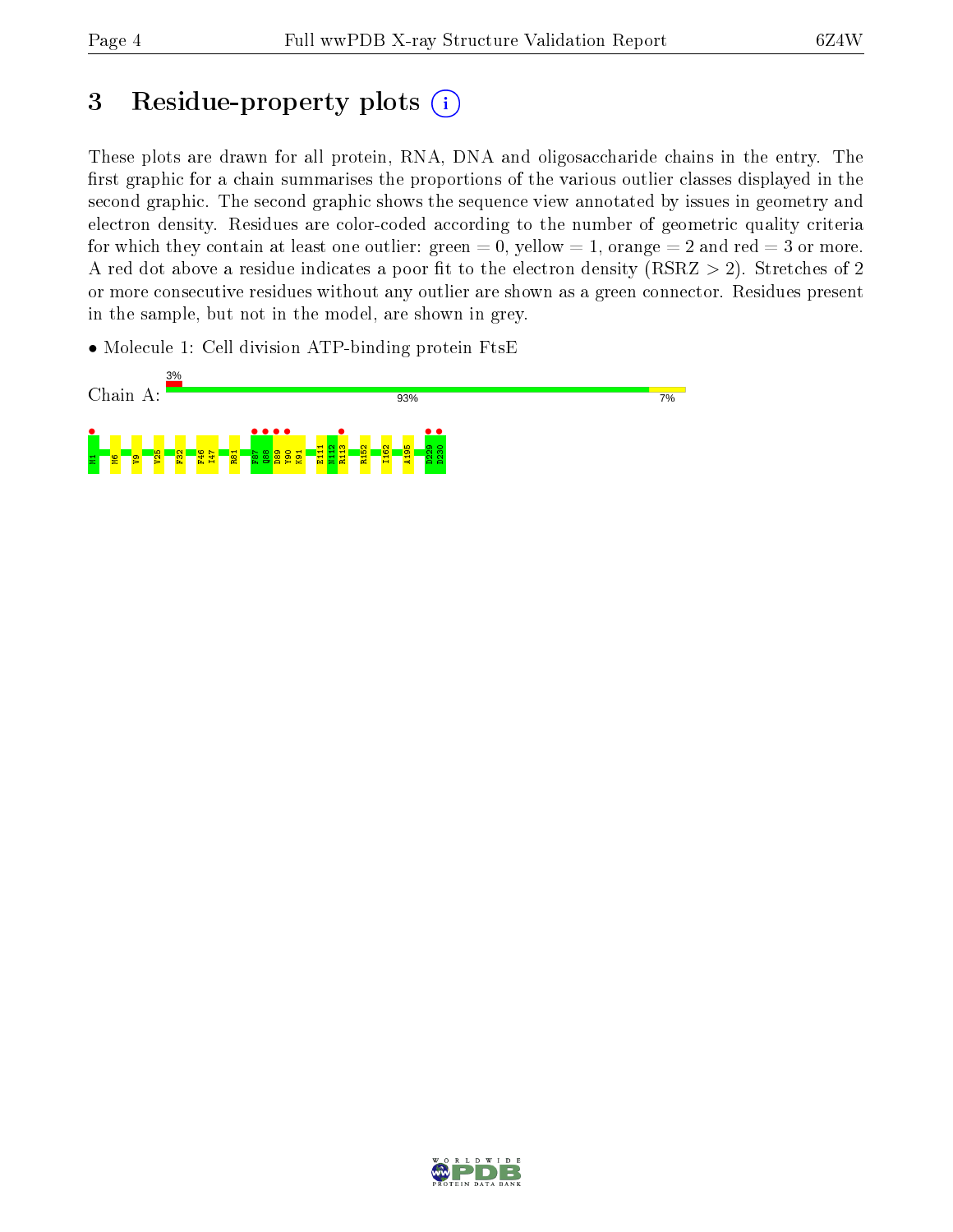## 3 Residue-property plots  $(i)$

These plots are drawn for all protein, RNA, DNA and oligosaccharide chains in the entry. The first graphic for a chain summarises the proportions of the various outlier classes displayed in the second graphic. The second graphic shows the sequence view annotated by issues in geometry and electron density. Residues are color-coded according to the number of geometric quality criteria for which they contain at least one outlier: green  $= 0$ , yellow  $= 1$ , orange  $= 2$  and red  $= 3$  or more. A red dot above a residue indicates a poor fit to the electron density ( $RSRZ > 2$ ). Stretches of 2 or more consecutive residues without any outlier are shown as a green connector. Residues present in the sample, but not in the model, are shown in grey.

• Molecule 1: Cell division ATP-binding protein FtsE



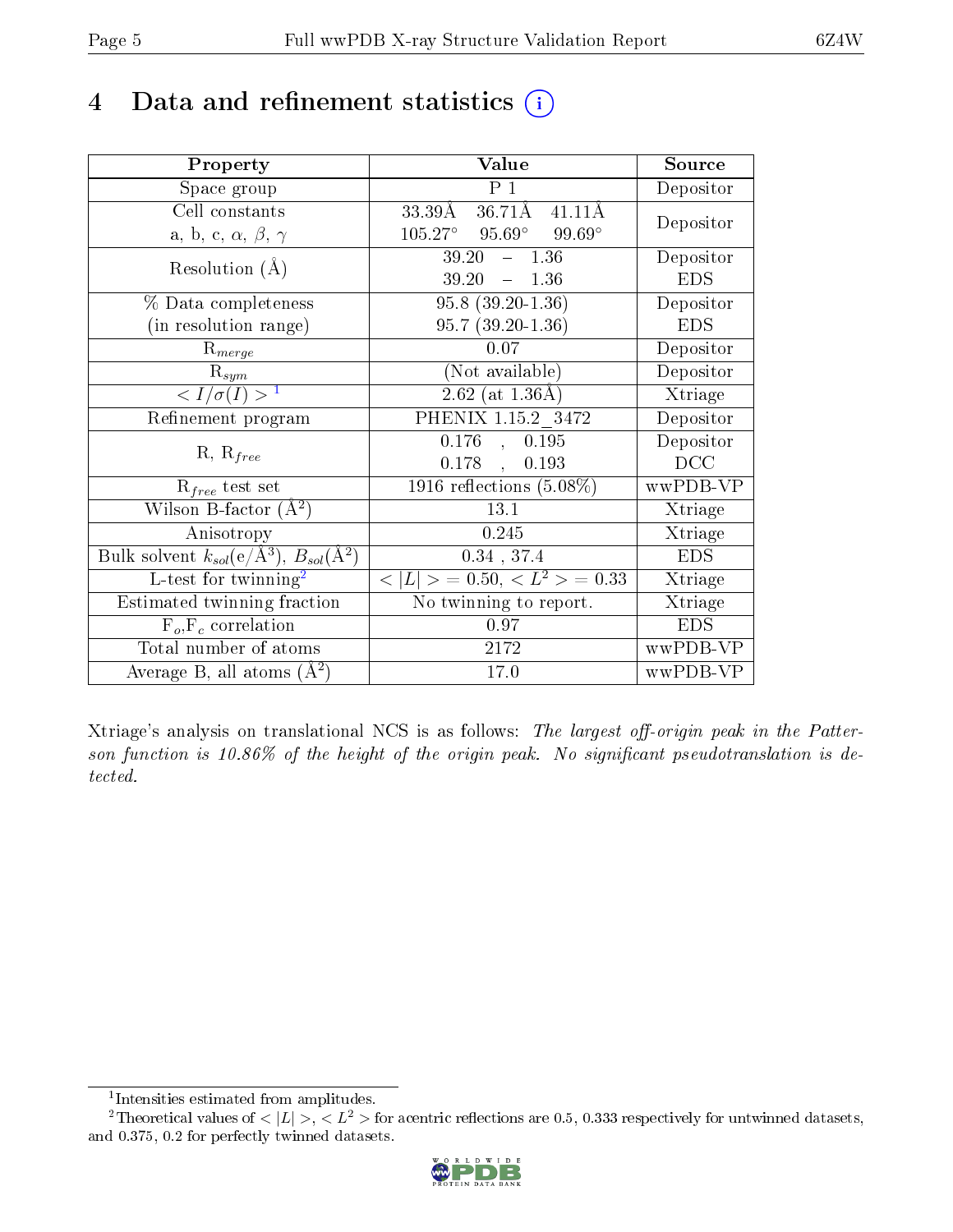## 4 Data and refinement statistics  $(i)$

| Property                                                   | Value                                                       | Source     |
|------------------------------------------------------------|-------------------------------------------------------------|------------|
| Space group                                                | $P_1$                                                       | Depositor  |
| Cell constants                                             | $36.71\text{\AA}$<br>$41.11\text{\AA}$<br>$33.39\text{\AA}$ | Depositor  |
| a, b, c, $\alpha$ , $\beta$ , $\gamma$                     | $105.27^{\circ}$ 95.69°<br>$99.69^\circ$                    |            |
| Resolution $(A)$                                           | 39.20<br>$-1.36$                                            | Depositor  |
|                                                            | $39.20 = 1.36$                                              | <b>EDS</b> |
| % Data completeness                                        | $95.8(39.20-1.36)$                                          | Depositor  |
| (in resolution range)                                      | $95.7(39.20-1.36)$                                          | <b>EDS</b> |
| $R_{merge}$                                                | 0.07                                                        | Depositor  |
| $\mathrm{R}_{sym}$                                         | (Not available)                                             | Depositor  |
| $\langle I/\sigma(I) \rangle^{-1}$                         | $\sqrt{2.62 \text{ (at } 1.36 \text{\AA})}$                 | Xtriage    |
| Refinement program                                         | PHENIX 1.15.2 3472                                          | Depositor  |
|                                                            | 0.176<br>0.195<br>$\overline{a}$                            | Depositor  |
| $R, R_{free}$                                              | 0.193<br>$0.178$ ,                                          | DCC        |
| $R_{free}$ test set                                        | $1916$ reflections $(5.08\%)$                               | wwPDB-VP   |
| Wilson B-factor $(\AA^2)$                                  | 13.1                                                        | Xtriage    |
| Anisotropy                                                 | 0.245                                                       | Xtriage    |
| Bulk solvent $k_{sol}$ (e/Å <sup>3</sup> ), $B_{sol}(A^2)$ | $0.34$ , 37.4                                               | <b>EDS</b> |
| L-test for twinning <sup>2</sup>                           | $< L >$ = 0.50, $< L^2 >$ = 0.33                            | Xtriage    |
| Estimated twinning fraction                                | No twinning to report.                                      | Xtriage    |
| $F_o, F_c$ correlation                                     | 0.97                                                        | <b>EDS</b> |
| Total number of atoms                                      | 2172                                                        | wwPDB-VP   |
| Average B, all atoms $(A^2)$                               | 17.0                                                        | wwPDB-VP   |

Xtriage's analysis on translational NCS is as follows: The largest off-origin peak in the Patterson function is  $10.86\%$  of the height of the origin peak. No significant pseudotranslation is detected.

<sup>&</sup>lt;sup>2</sup>Theoretical values of  $\langle |L| \rangle$ ,  $\langle L^2 \rangle$  for acentric reflections are 0.5, 0.333 respectively for untwinned datasets, and 0.375, 0.2 for perfectly twinned datasets.



<span id="page-4-1"></span><span id="page-4-0"></span><sup>1</sup> Intensities estimated from amplitudes.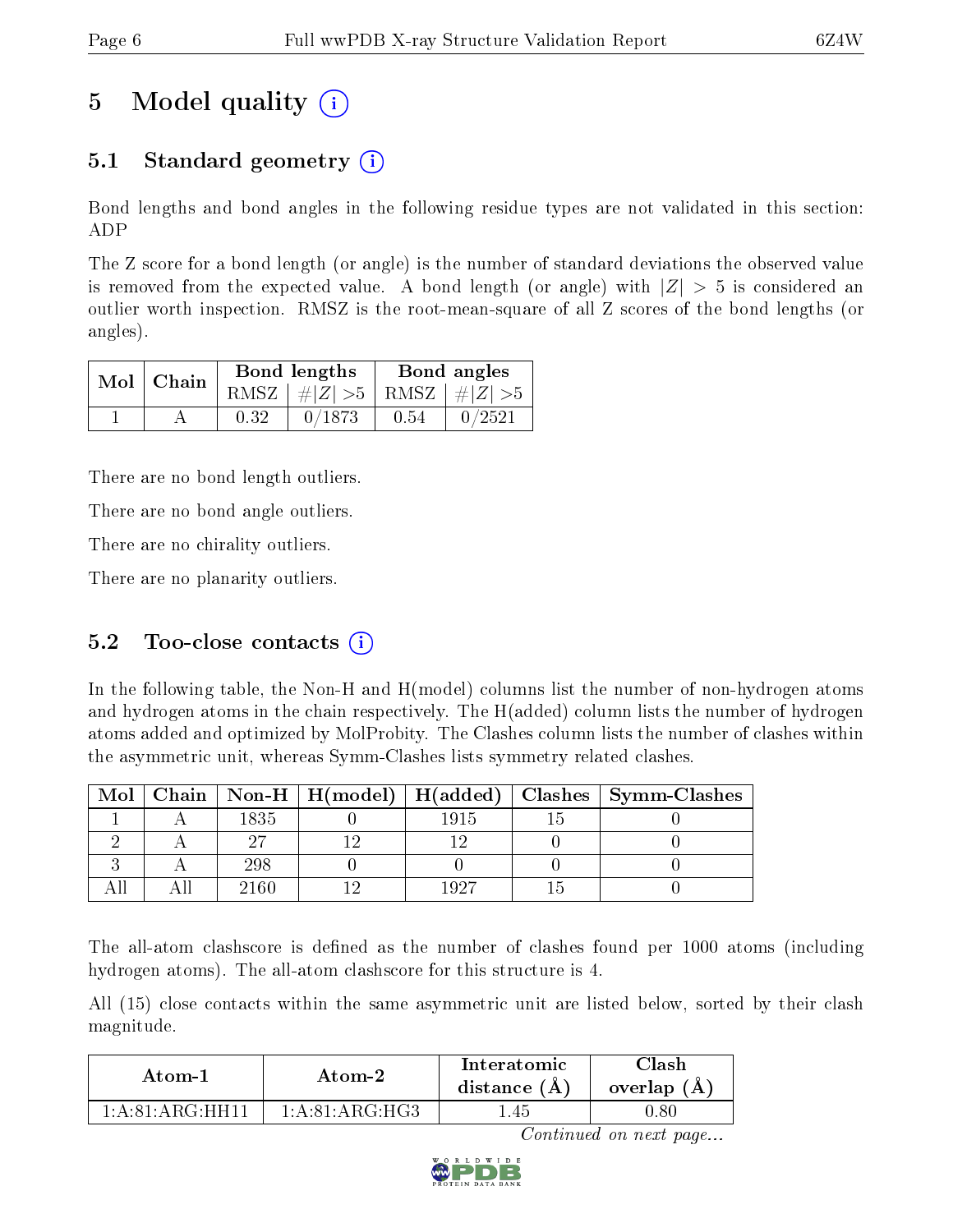## 5 Model quality  $(i)$

## 5.1 Standard geometry  $\overline{()}$

Bond lengths and bond angles in the following residue types are not validated in this section: ADP

The Z score for a bond length (or angle) is the number of standard deviations the observed value is removed from the expected value. A bond length (or angle) with  $|Z| > 5$  is considered an outlier worth inspection. RMSZ is the root-mean-square of all Z scores of the bond lengths (or angles).

|  | $Mol$   Chain |      | Bond lengths                    | Bond angles |        |  |
|--|---------------|------|---------------------------------|-------------|--------|--|
|  |               |      | RMSZ $ #Z  > 5$ RMSZ $ #Z  > 5$ |             |        |  |
|  |               | 0.32 | 0/1873                          | 0.54        | 0/2521 |  |

There are no bond length outliers.

There are no bond angle outliers.

There are no chirality outliers.

There are no planarity outliers.

### 5.2 Too-close contacts  $(i)$

In the following table, the Non-H and H(model) columns list the number of non-hydrogen atoms and hydrogen atoms in the chain respectively. The H(added) column lists the number of hydrogen atoms added and optimized by MolProbity. The Clashes column lists the number of clashes within the asymmetric unit, whereas Symm-Clashes lists symmetry related clashes.

| Mol |      |      | Chain   Non-H   H(model)   H(added)   Clashes   Symm-Clashes |
|-----|------|------|--------------------------------------------------------------|
|     | 1835 | 1915 |                                                              |
|     |      |      |                                                              |
|     | 298  |      |                                                              |
|     | 2160 | יפחו |                                                              |

The all-atom clashscore is defined as the number of clashes found per 1000 atoms (including hydrogen atoms). The all-atom clashscore for this structure is 4.

All (15) close contacts within the same asymmetric unit are listed below, sorted by their clash magnitude.

| Atom-1                        | Atom-2                                         | Interatomic<br>distance $(A)$ | Clash<br>overlap $(A)$ |  |
|-------------------------------|------------------------------------------------|-------------------------------|------------------------|--|
| $1: A:81: A R G \cdot H H 11$ | $1 \cdot A \cdot 81 \cdot A \cdot G \cdot H G$ | 1.45                          | .80                    |  |

Continued on next page...

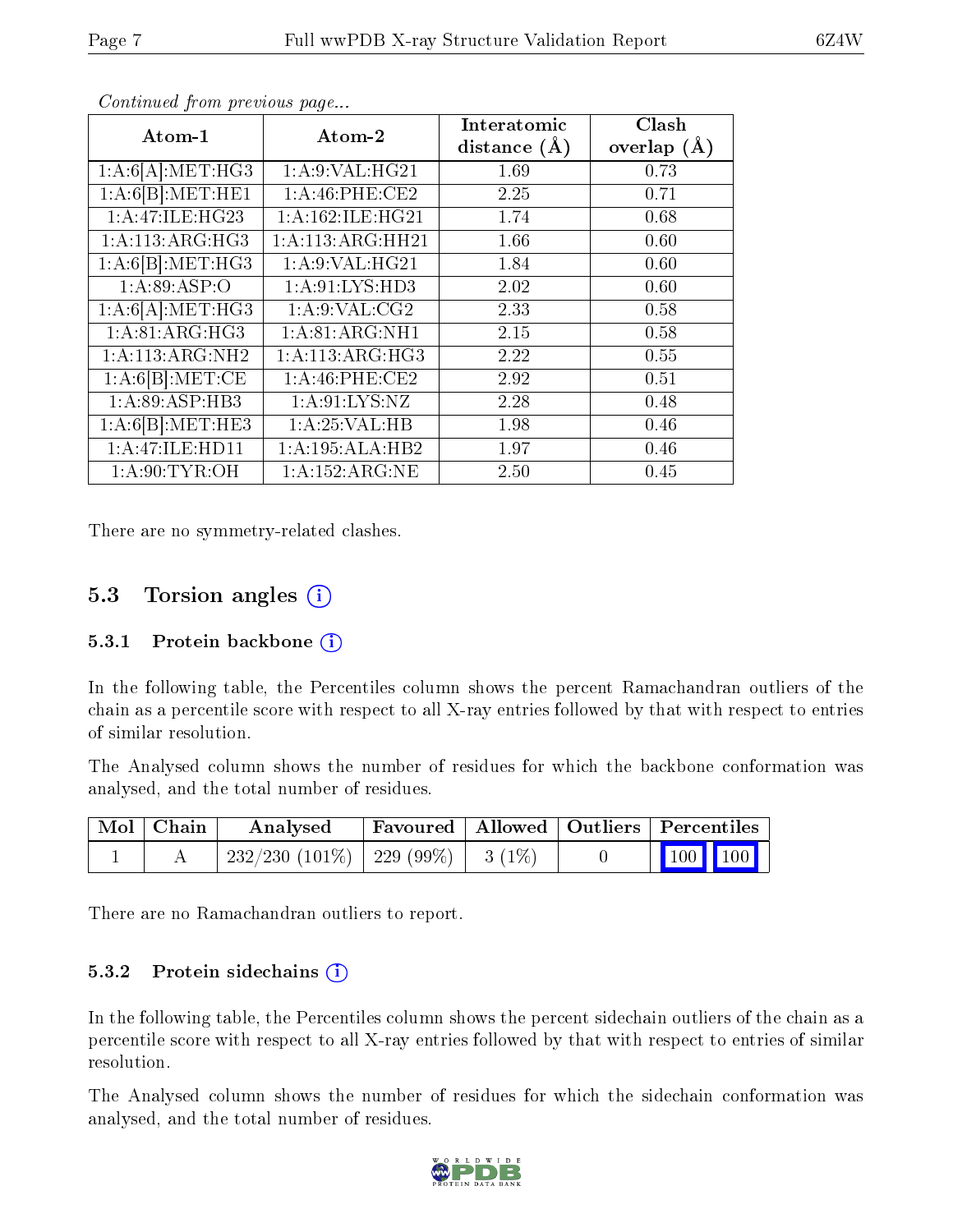| Atom-1           | Atom-2             | Interatomic      | Clash           |
|------------------|--------------------|------------------|-----------------|
|                  |                    | distance $(\AA)$ | overlap $(\AA)$ |
| 1:A:6[A]:MET:HG3 | 1: A:9: VAL: HG21  | 1.69             | 0.73            |
| 1:A:6[B]:MET:HE1 | 1:A:46:PHE:CE2     | 2.25             | 0.71            |
| 1:A:47:ILE:HG23  | 1:A:162:ILE:HG21   | 1.74             | 0.68            |
| 1:A:113:ARG:HG3  | 1:A:113:ARG:HH21   | 1.66             | 0.60            |
| 1:A:6[B].MET:HG3 | 1:A:9:VAL:HG21     | 1.84             | 0.60            |
| 1: A:89: ASP:O   | 1: A:91: LYS: HD3  | 2.02             | 0.60            |
| 1:A:6[A]:MET:HG3 | 1: A.9: VAL: CG2   | 2.33             | 0.58            |
| 1:A:81:ARG:HG3   | 1: A:81: ARG:NH1   | 2.15             | 0.58            |
| 1: A:113:ARG:NH2 | 1: A:113: ARG: HG3 | 2.22             | 0.55            |
| 1:A:6[B]:MET:CE  | 1:A:46:PHE:CE2     | 2.92             | 0.51            |
| 1:A:89:ASP:HB3   | 1: A:91: LYS: NZ   | 2.28             | 0.48            |
| 1:A:6[B]:MET:HE3 | 1: A:25:VAL:HB     | 1.98             | 0.46            |
| 1:A:47:ILE:HDI1  | 1:A:195:ALA:HB2    | 1.97             | 0.46            |
| 1: A:90: TYR:OH  | 1: A: 152: ARG: NE | 2.50             | 0.45            |

Continued from previous page...

There are no symmetry-related clashes.

#### 5.3 Torsion angles (i)

#### 5.3.1 Protein backbone  $(i)$

In the following table, the Percentiles column shows the percent Ramachandran outliers of the chain as a percentile score with respect to all X-ray entries followed by that with respect to entries of similar resolution.

The Analysed column shows the number of residues for which the backbone conformation was analysed, and the total number of residues.

| Mol   Chain | Analysed                               |  | Favoured   Allowed   Outliers   Percentiles |  |
|-------------|----------------------------------------|--|---------------------------------------------|--|
|             | 232/230 (101\%)   229 (99\%)   3 (1\%) |  | 100 100                                     |  |

There are no Ramachandran outliers to report.

#### 5.3.2 Protein sidechains  $(i)$

In the following table, the Percentiles column shows the percent sidechain outliers of the chain as a percentile score with respect to all X-ray entries followed by that with respect to entries of similar resolution.

The Analysed column shows the number of residues for which the sidechain conformation was analysed, and the total number of residues.

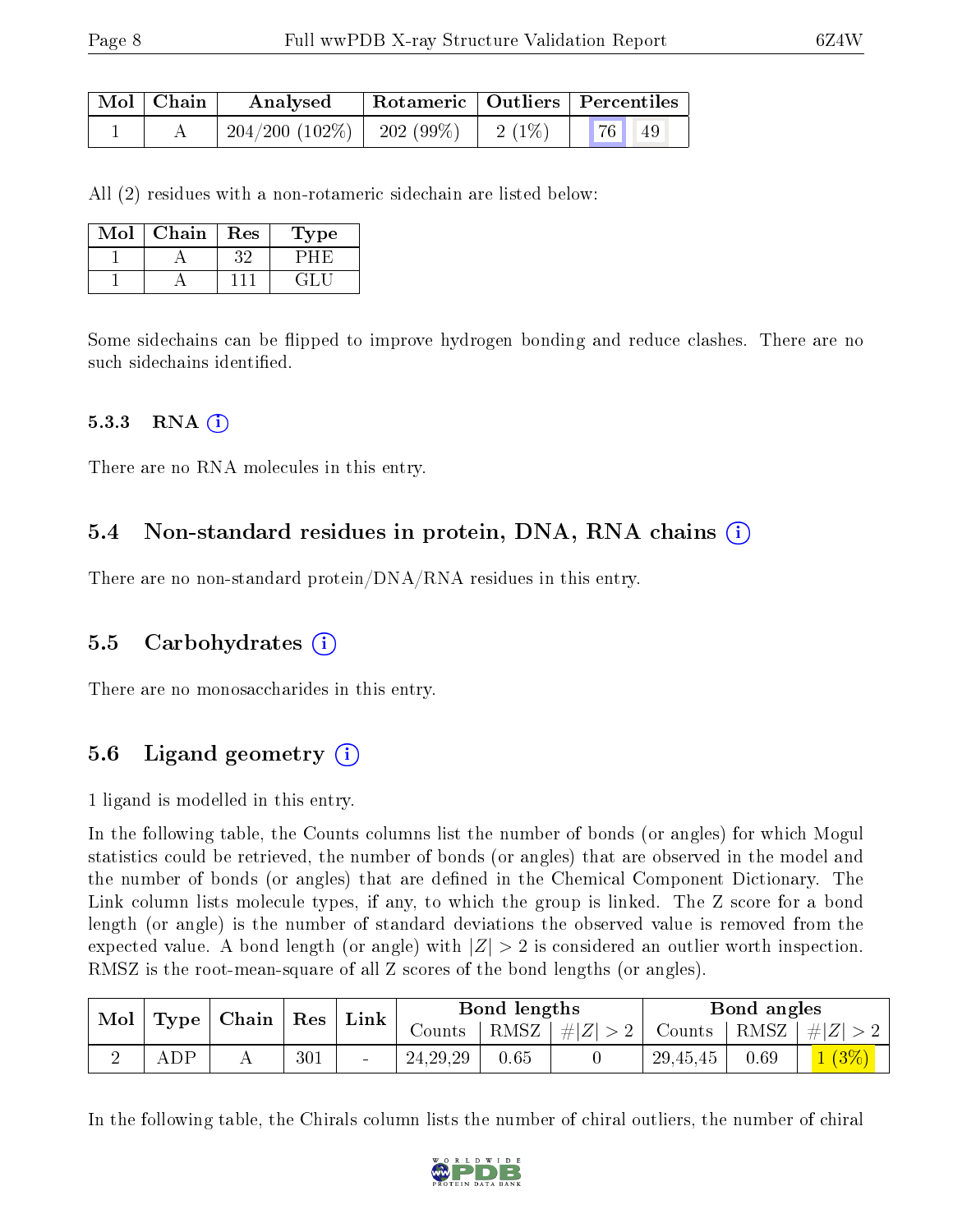| Mol   Chain | Analysed                           | Rotameric   Outliers   Percentiles |          |    |    |
|-------------|------------------------------------|------------------------------------|----------|----|----|
|             | $204/200$ $(102\%)$   202 $(99\%)$ |                                    | $2(1\%)$ | 76 | 49 |

All (2) residues with a non-rotameric sidechain are listed below:

| Mol | Chain | Res | Type |
|-----|-------|-----|------|
|     |       |     |      |
|     |       |     |      |

Some sidechains can be flipped to improve hydrogen bonding and reduce clashes. There are no such sidechains identified.

#### 5.3.3 RNA  $(i)$

There are no RNA molecules in this entry.

#### 5.4 Non-standard residues in protein, DNA, RNA chains (i)

There are no non-standard protein/DNA/RNA residues in this entry.

#### 5.5 Carbohydrates (i)

There are no monosaccharides in this entry.

### 5.6 Ligand geometry  $(i)$

1 ligand is modelled in this entry.

In the following table, the Counts columns list the number of bonds (or angles) for which Mogul statistics could be retrieved, the number of bonds (or angles) that are observed in the model and the number of bonds (or angles) that are defined in the Chemical Component Dictionary. The Link column lists molecule types, if any, to which the group is linked. The Z score for a bond length (or angle) is the number of standard deviations the observed value is removed from the expected value. A bond length (or angle) with  $|Z| > 2$  is considered an outlier worth inspection. RMSZ is the root-mean-square of all Z scores of the bond lengths (or angles).

| Mol |     | $\mid$ Type $\mid$ Chain $\mid$ Res $\mid$ |     | $^{\mathrm{+}}$ Link $_{\mathrm{+}}$ | Bond lengths   |      |                 | Bond angles           |      |                 |
|-----|-----|--------------------------------------------|-----|--------------------------------------|----------------|------|-----------------|-----------------------|------|-----------------|
|     |     |                                            |     |                                      | Counts $\perp$ |      | RMSZ $ #Z  > 2$ | Counts   RMSZ $\vert$ |      | $\perp$ # $ Z $ |
|     | ADP |                                            | 301 |                                      | 24, 29, 29     | 0.65 |                 | 29,45,45              | 0.69 | 1(3%)           |

In the following table, the Chirals column lists the number of chiral outliers, the number of chiral

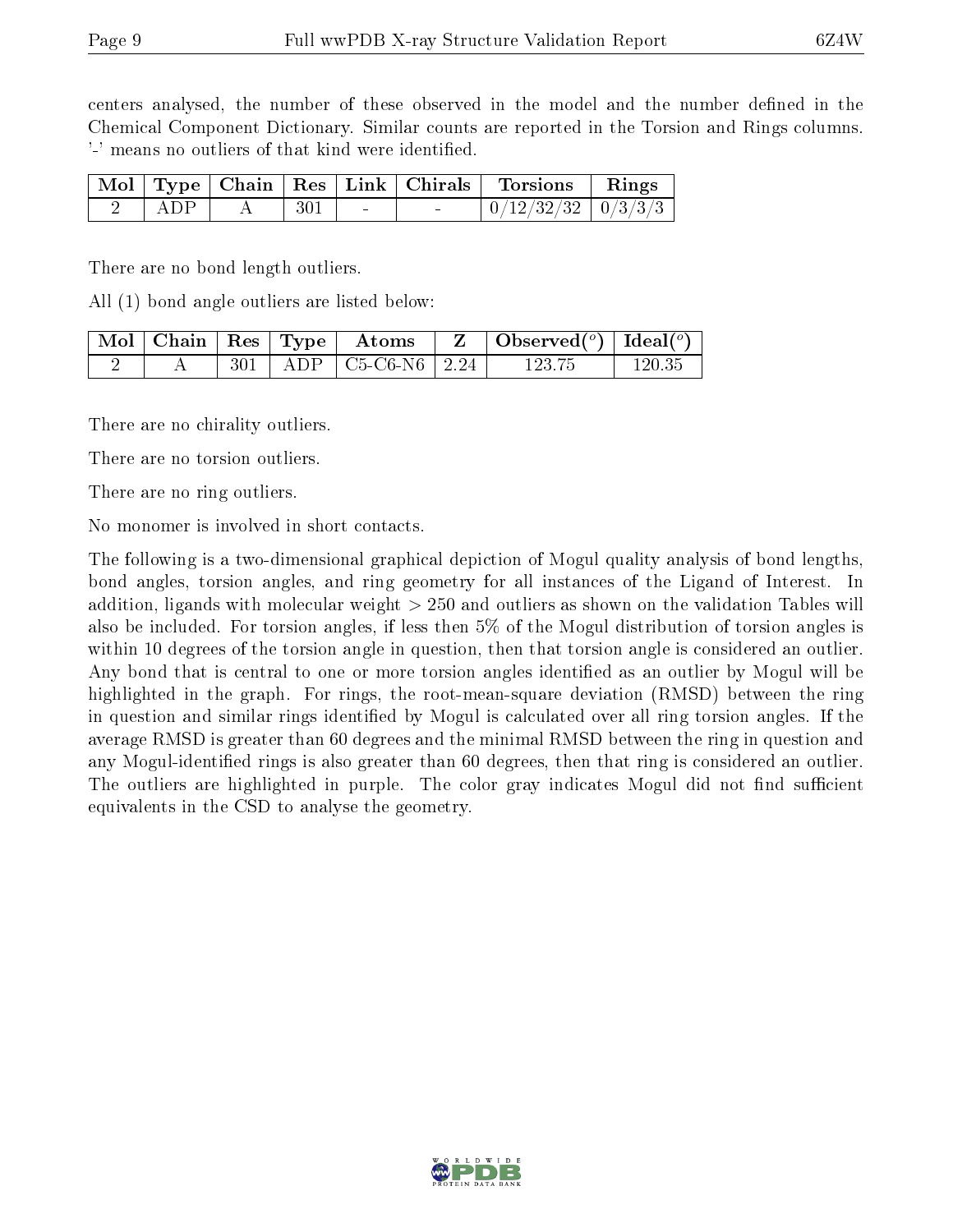centers analysed, the number of these observed in the model and the number defined in the Chemical Component Dictionary. Similar counts are reported in the Torsion and Rings columns. '-' means no outliers of that kind were identified.

|     |     |                  | Mol   Type   Chain   Res   Link   Chirals   Torsions   Rings |  |
|-----|-----|------------------|--------------------------------------------------------------|--|
| ADP | 301 | and the state of | $\mid 0/12/32/32 \mid 0/3/3/3 \mid$                          |  |

There are no bond length outliers.

All (1) bond angle outliers are listed below:

|  |       | $\mid$ Mol $\mid$ Chain $\mid$ Res $\mid$ Type $\mid$ Atoms | $\sqrt{\frac{1}{\text{Observed}}}}$ (°) $\sqrt{\frac{1}{\text{Ideal}}}}$ |            |
|--|-------|-------------------------------------------------------------|--------------------------------------------------------------------------|------------|
|  | $301$ | ADP   C5-C6-N6   2.24                                       | 123.75                                                                   | $120.35\,$ |

There are no chirality outliers.

There are no torsion outliers.

There are no ring outliers.

No monomer is involved in short contacts.

The following is a two-dimensional graphical depiction of Mogul quality analysis of bond lengths, bond angles, torsion angles, and ring geometry for all instances of the Ligand of Interest. In addition, ligands with molecular weight > 250 and outliers as shown on the validation Tables will also be included. For torsion angles, if less then 5% of the Mogul distribution of torsion angles is within 10 degrees of the torsion angle in question, then that torsion angle is considered an outlier. Any bond that is central to one or more torsion angles identified as an outlier by Mogul will be highlighted in the graph. For rings, the root-mean-square deviation (RMSD) between the ring in question and similar rings identified by Mogul is calculated over all ring torsion angles. If the average RMSD is greater than 60 degrees and the minimal RMSD between the ring in question and any Mogul-identied rings is also greater than 60 degrees, then that ring is considered an outlier. The outliers are highlighted in purple. The color gray indicates Mogul did not find sufficient equivalents in the CSD to analyse the geometry.

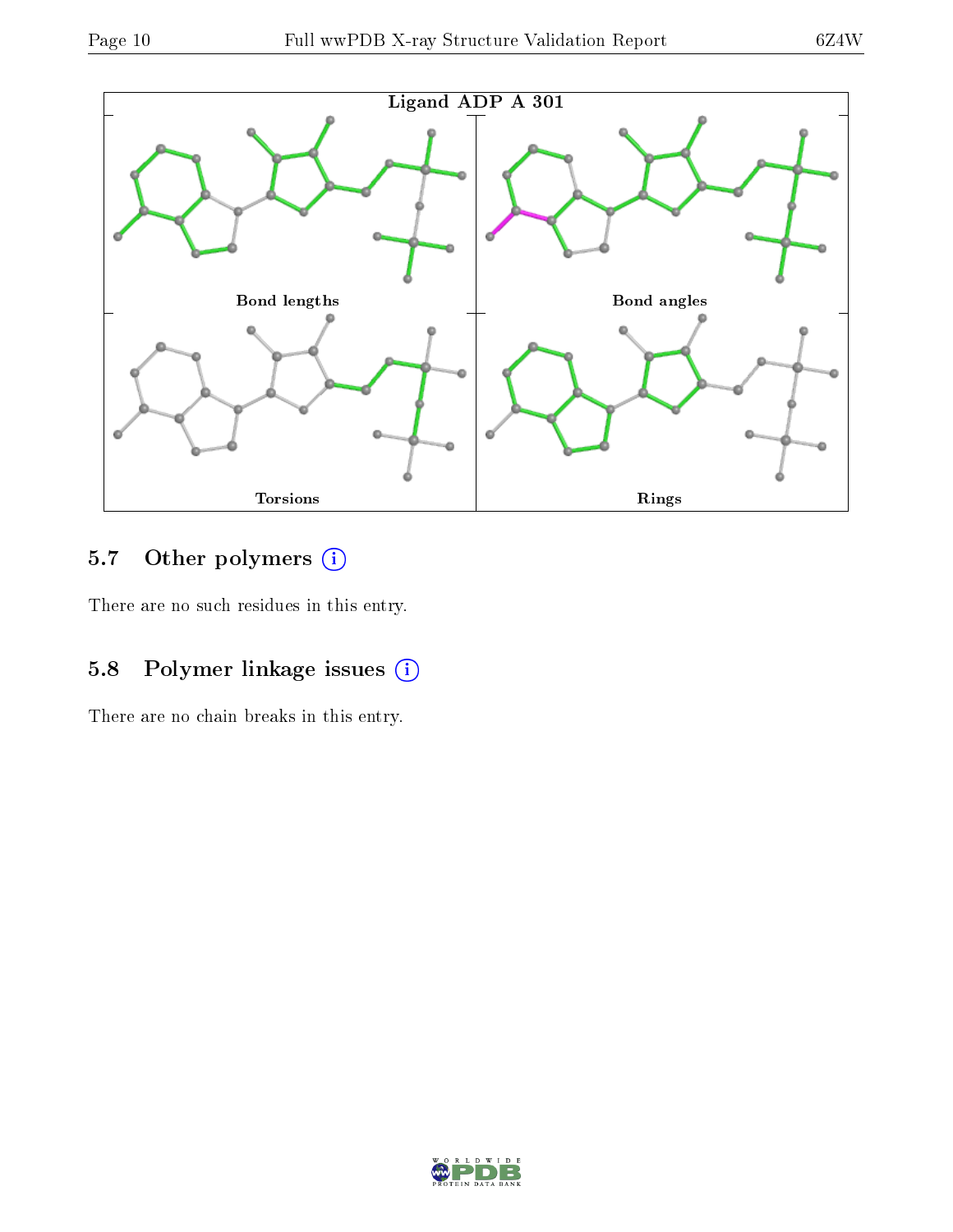

## 5.7 [O](https://www.wwpdb.org/validation/2017/XrayValidationReportHelp#nonstandard_residues_and_ligands)ther polymers (i)

There are no such residues in this entry.

### 5.8 Polymer linkage issues (i)

There are no chain breaks in this entry.

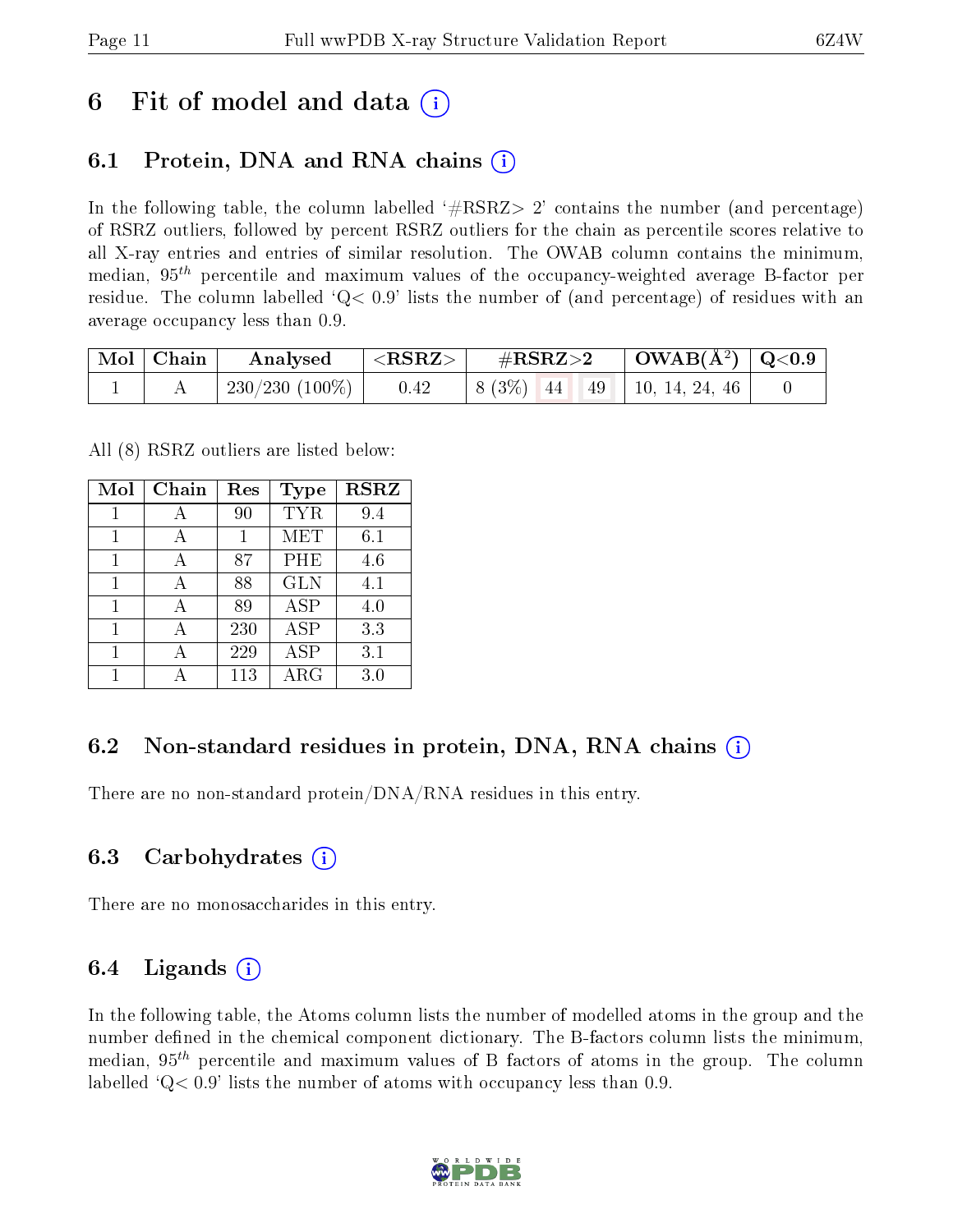## 6 Fit of model and data  $\left( \cdot \right)$

### 6.1 Protein, DNA and RNA chains (i)

In the following table, the column labelled  $#RSRZ>2'$  contains the number (and percentage) of RSRZ outliers, followed by percent RSRZ outliers for the chain as percentile scores relative to all X-ray entries and entries of similar resolution. The OWAB column contains the minimum, median,  $95<sup>th</sup>$  percentile and maximum values of the occupancy-weighted average B-factor per residue. The column labelled  $Q < 0.9$  lists the number of (and percentage) of residues with an average occupancy less than 0.9.

| $\mid$ Mol $\mid$ Chain | Analysed          | ${ <\hspace{-1.5pt}{\mathrm{RSRZ}} \hspace{-1.5pt}>}$ | $\#RSRZ\!\!>\!2$                                       | $\mid$ OWAB(Å <sup>2</sup> ) $\mid$ Q<0.9 |  |
|-------------------------|-------------------|-------------------------------------------------------|--------------------------------------------------------|-------------------------------------------|--|
|                         | 230/230 $(100\%)$ | 0.42                                                  | $\mid 8(3\%) \mid 44 \mid 49 \mid 10, 14, 24, 46 \mid$ |                                           |  |

All (8) RSRZ outliers are listed below:

| Mol | Chain | Res | Type       | <b>RSRZ</b> |
|-----|-------|-----|------------|-------------|
| 1   | А     | 90  | <b>TYR</b> | 9.4         |
| 1   |       |     | <b>MET</b> | 6.1         |
| 1   |       | 87  | PHE        | 4.6         |
| 1   |       | 88  | <b>GLN</b> | 4.1         |
| 1   |       | 89  | ASP        | 4.0         |
| 1   |       | 230 | ASP        | 3.3         |
|     |       | 229 | <b>ASP</b> | 3.1         |
|     |       | 113 | $\rm{ARG}$ | 3.0         |

### 6.2 Non-standard residues in protein, DNA, RNA chains  $(i)$

There are no non-standard protein/DNA/RNA residues in this entry.

#### 6.3 Carbohydrates (i)

There are no monosaccharides in this entry.

#### 6.4 Ligands  $(i)$

In the following table, the Atoms column lists the number of modelled atoms in the group and the number defined in the chemical component dictionary. The B-factors column lists the minimum, median,  $95<sup>th</sup>$  percentile and maximum values of B factors of atoms in the group. The column labelled  $Q< 0.9$ ' lists the number of atoms with occupancy less than 0.9.